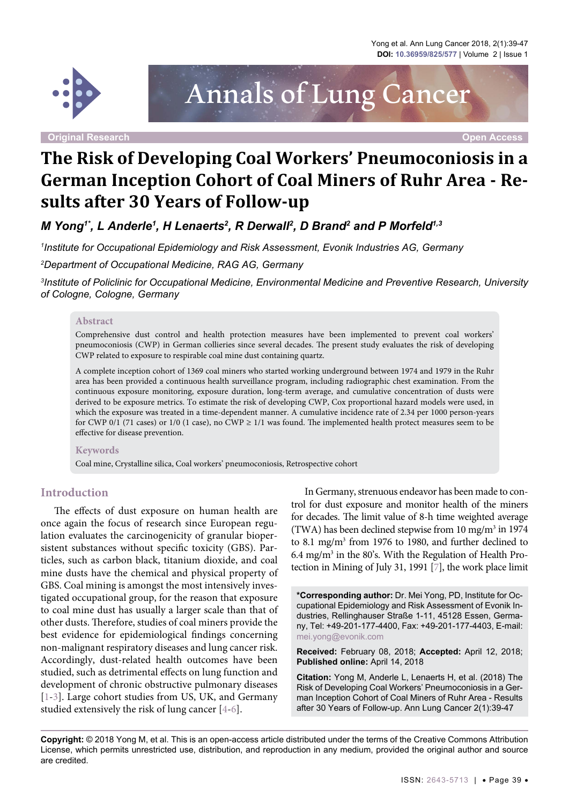Yong et al. Ann Lung Cancer 2018, 2(1):39-47 **DOI: 10.36959/825/577** | Volume 2 | Issue 1



**Original Research Open Access**

Annals of Lung Cancer

# **The Risk of Developing Coal Workers' Pneumoconiosis in a German Inception Cohort of Coal Miners of Ruhr Area - Results after 30 Years of Follow-up**

*M Yong'', L Anderle<sup>1</sup>, H Lenaerts<sup>2</sup>, R Derwall<sup>2</sup>, D Brand<sup>2</sup> and P Morfeld<sup>1,3</sup>* 

*1 Institute for Occupational Epidemiology and Risk Assessment, Evonik Industries AG, Germany*

*2 Department of Occupational Medicine, RAG AG, Germany*

*3 Institute of Policlinic for Occupational Medicine, Environmental Medicine and Preventive Research, University of Cologne, Cologne, Germany*

#### **Abstract**

Comprehensive dust control and health protection measures have been implemented to prevent coal workers' pneumoconiosis (CWP) in German collieries since several decades. The present study evaluates the risk of developing CWP related to exposure to respirable coal mine dust containing quartz.

A complete inception cohort of 1369 coal miners who started working underground between 1974 and 1979 in the Ruhr area has been provided a continuous health surveillance program, including radiographic chest examination. From the continuous exposure monitoring, exposure duration, long-term average, and cumulative concentration of dusts were derived to be exposure metrics. To estimate the risk of developing CWP, Cox proportional hazard models were used, in which the exposure was treated in a time-dependent manner. A cumulative incidence rate of 2.34 per 1000 person-years for CWP 0/1 (71 cases) or 1/0 (1 case), no CWP ≥ 1/1 was found. The implemented health protect measures seem to be effective for disease prevention.

#### **Keywords**

Coal mine, Crystalline silica, Coal workers' pneumoconiosis, Retrospective cohort

#### **Introduction**

The effects of dust exposure on human health are once again the focus of research since European regulation evaluates the carcinogenicity of granular biopersistent substances without specific toxicity (GBS). Particles, such as carbon black, titanium dioxide, and coal mine dusts have the chemical and physical property of GBS. Coal mining is amongst the most intensively investigated occupational group, for the reason that exposure to coal mine dust has usually a larger scale than that of other dusts. Therefore, studies of coal miners provide the best evidence for epidemiological findings concerning non-malignant respiratory diseases and lung cancer risk. Accordingly, dust-related health outcomes have been studied, such as detrimental effects on lung function and development of chronic obstructive pulmonary diseases [\[1-](#page-7-0)[3\]](#page-7-1). Large cohort studies from US, UK, and Germany studied extensively the risk of lung cancer [[4](#page-7-2)-[6](#page-7-3)].

In Germany, strenuous endeavor has been made to control for dust exposure and monitor health of the miners for decades. The limit value of 8-h time weighted average (TWA) has been declined stepwise from  $10 \text{ mg/m}^3$  in  $1974$ to 8.1 mg/m<sup>3</sup> from 1976 to 1980, and further declined to  $6.4 \text{ mg/m}^3$  in the 80's. With the Regulation of Health Protection in Mining of July 31, 1991 [\[7](#page-7-4)], the work place limit

**\*Corresponding author:** Dr. Mei Yong, PD, Institute for Occupational Epidemiology and Risk Assessment of Evonik Industries, Rellinghauser Straße 1-11, 45128 Essen, Germany, Tel: +49-201-177-4400, Fax: +49-201-177-4403, E-mail: mei.yong@evonik.com

**Received:** February 08, 2018; **Accepted:** April 12, 2018; **Published online:** April 14, 2018

**Citation:** Yong M, Anderle L, Lenaerts H, et al. (2018) The Risk of Developing Coal Workers' Pneumoconiosis in a German Inception Cohort of Coal Miners of Ruhr Area - Results after 30 Years of Follow-up. Ann Lung Cancer 2(1):39-47

**Copyright:** © 2018 Yong M, et al. This is an open-access article distributed under the terms of the Creative Commons Attribution License, which permits unrestricted use, distribution, and reproduction in any medium, provided the original author and source are credited.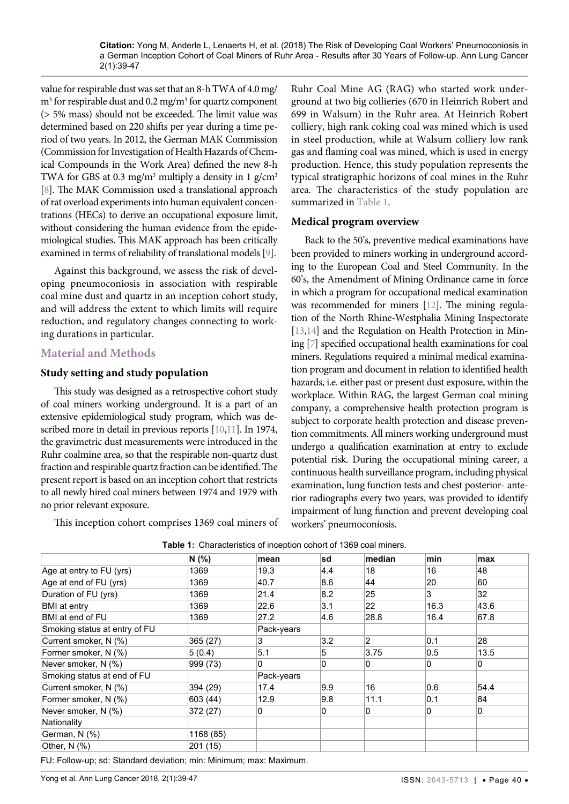value for respirable dust was set that an 8-h TWA of 4.0 mg/  $\text{m}^3$  for respirable dust and 0.2 mg/m<sup>3</sup> for quartz component (> 5% mass) should not be exceeded. The limit value was determined based on 220 shifts per year during a time period of two years. In 2012, the German MAK Commission (Commission for Investigation of Health Hazards of Chemical Compounds in the Work Area) defined the new 8-h TWA for GBS at 0.3 mg/m<sup>3</sup> multiply a density in 1 g/cm<sup>3</sup> [\[8](#page-7-5)]. The MAK Commission used a translational approach of rat overload experiments into human equivalent concentrations (HECs) to derive an occupational exposure limit, without considering the human evidence from the epidemiological studies. This MAK approach has been critically examined in terms of reliability of translational models [\[9\]](#page-7-6).

Against this background, we assess the risk of developing pneumoconiosis in association with respirable coal mine dust and quartz in an inception cohort study, and will address the extent to which limits will require reduction, and regulatory changes connecting to working durations in particular.

# **Material and Methods**

# **Study setting and study population**

This study was designed as a retrospective cohort study of coal miners working underground. It is a part of an extensive epidemiological study program, which was described more in detail in previous reports [[10,](#page-7-7)[11](#page-7-8)]. In 1974, the gravimetric dust measurements were introduced in the Ruhr coalmine area, so that the respirable non-quartz dust fraction and respirable quartz fraction can be identified. The present report is based on an inception cohort that restricts to all newly hired coal miners between 1974 and 1979 with no prior relevant exposure.

This inception cohort comprises 1369 coal miners of

Ruhr Coal Mine AG (RAG) who started work underground at two big collieries (670 in Heinrich Robert and 699 in Walsum) in the Ruhr area. At Heinrich Robert colliery, high rank coking coal was mined which is used in steel production, while at Walsum colliery low rank gas and flaming coal was mined, which is used in energy production. Hence, this study population represents the typical stratigraphic horizons of coal mines in the Ruhr area. The characteristics of the study population are summarized in [Table 1.](#page-1-0)

# **Medical program overview**

Back to the 50's, preventive medical examinations have been provided to miners working in underground according to the European Coal and Steel Community. In the 60's, the Amendment of Mining Ordinance came in force in which a program for occupational medical examination was recommended for miners [\[12](#page-7-9)]. The mining regulation of the North Rhine-Westphalia Mining Inspectorate [\[13](#page-7-10),[14\]](#page-7-11) and the Regulation on Health Protection in Mining [\[7\]](#page-7-4) specified occupational health examinations for coal miners. Regulations required a minimal medical examination program and document in relation to identified health hazards, i.e. either past or present dust exposure, within the workplace. Within RAG, the largest German coal mining company, a comprehensive health protection program is subject to corporate health protection and disease prevention commitments. All miners working underground must undergo a qualification examination at entry to exclude potential risk. During the occupational mining career, a continuous health surveillance program, including physical examination, lung function tests and chest posterior- anterior radiographs every two years, was provided to identify impairment of lung function and prevent developing coal workers' pneumoconiosis.

|                               | N(% )     | mean       | sd             | median | min  | max  |
|-------------------------------|-----------|------------|----------------|--------|------|------|
| Age at entry to FU (yrs)      | 1369      | 19.3       | 4.4            | 18     | 16   | 48   |
| Age at end of FU (yrs)        | 1369      | 40.7       | 8.6            | 44     | 20   | 60   |
| Duration of FU (yrs)          | 1369      | 21.4       | 8.2            | 25     | 3    | 32   |
| <b>BMI</b> at entry           | 1369      | 22.6       | 3.1            | 22     | 16.3 | 43.6 |
| BMI at end of FU              | 1369      | 27.2       | 4.6            | 28.8   | 16.4 | 67.8 |
| Smoking status at entry of FU |           | Pack-years |                |        |      |      |
| Current smoker, N (%)         | 365 (27)  | 3          | 3.2            | 2      | 0.1  | 28   |
| Former smoker, N (%)          | 5(0.4)    | 5.1        | 5              | 3.75   | 0.5  | 13.5 |
| Never smoker, N (%)           | 999 (73)  | 0          | $\mathbf{0}$   | 0      | 0    | 0    |
| Smoking status at end of FU   |           | Pack-years |                |        |      |      |
| Current smoker, N (%)         | 394 (29)  | 17.4       | 9.9            | 16     | 0.6  | 54.4 |
| Former smoker, N (%)          | 603 (44)  | 12.9       | 9.8            | 11.1   | 0.1  | 84   |
| Never smoker, N (%)           | 372 (27)  | 0          | $\overline{0}$ | 0      | 0    | 0    |
| Nationality                   |           |            |                |        |      |      |
| German, N (%)                 | 1168 (85) |            |                |        |      |      |
| Other, $N$ $(\%)$             | 201 (15)  |            |                |        |      |      |

<span id="page-1-0"></span>**Table 1:** Characteristics of inception cohort of 1369 coal miners.

FU: Follow-up; sd: Standard deviation; min: Minimum; max: Maximum.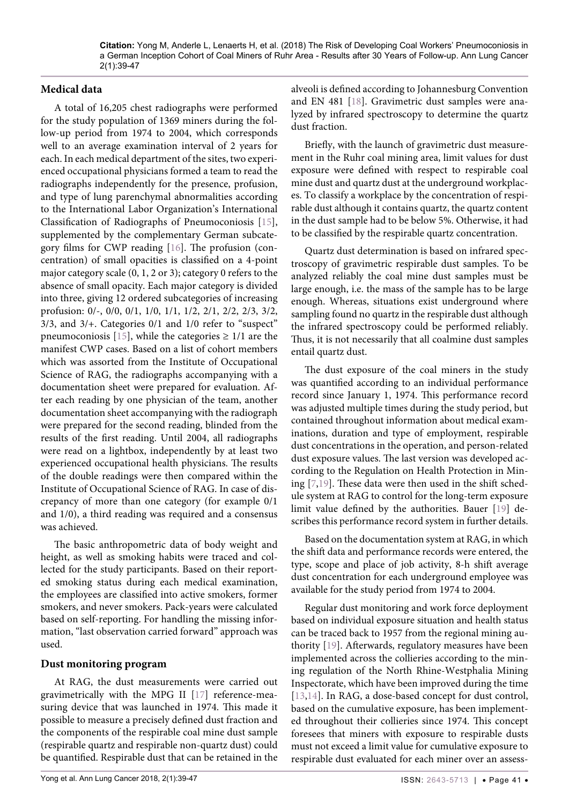#### **Medical data**

A total of 16,205 chest radiographs were performed for the study population of 1369 miners during the follow-up period from 1974 to 2004, which corresponds well to an average examination interval of 2 years for each. In each medical department of the sites, two experienced occupational physicians formed a team to read the radiographs independently for the presence, profusion, and type of lung parenchymal abnormalities according to the International Labor Organization's International Classification of Radiographs of Pneumoconiosis [[15](#page-8-2)], supplemented by the complementary German subcategory films for CWP reading [\[16\]](#page-8-3). The profusion (concentration) of small opacities is classified on a 4-point major category scale (0, 1, 2 or 3); category 0 refers to the absence of small opacity. Each major category is divided into three, giving 12 ordered subcategories of increasing profusion: 0/-, 0/0, 0/1, 1/0, 1/1, 1/2, 2/1, 2/2, 2/3, 3/2, 3/3, and 3/+. Categories 0/1 and 1/0 refer to "suspect" pneumoconiosis [\[15\]](#page-8-2), while the categories  $\geq$  1/1 are the manifest CWP cases. Based on a list of cohort members which was assorted from the Institute of Occupational Science of RAG, the radiographs accompanying with a documentation sheet were prepared for evaluation. After each reading by one physician of the team, another documentation sheet accompanying with the radiograph were prepared for the second reading, blinded from the results of the first reading. Until 2004, all radiographs were read on a lightbox, independently by at least two experienced occupational health physicians. The results of the double readings were then compared within the Institute of Occupational Science of RAG. In case of discrepancy of more than one category (for example 0/1 and 1/0), a third reading was required and a consensus was achieved.

The basic anthropometric data of body weight and height, as well as smoking habits were traced and collected for the study participants. Based on their reported smoking status during each medical examination, the employees are classified into active smokers, former smokers, and never smokers. Pack-years were calculated based on self-reporting. For handling the missing information, "last observation carried forward" approach was used.

#### **Dust monitoring program**

At RAG, the dust measurements were carried out gravimetrically with the MPG II [[17](#page-8-4)] reference-measuring device that was launched in 1974. This made it possible to measure a precisely defined dust fraction and the components of the respirable coal mine dust sample (respirable quartz and respirable non-quartz dust) could be quantified. Respirable dust that can be retained in the alveoli is defined according to Johannesburg Convention and EN 481 [[18](#page-8-0)]. Gravimetric dust samples were analyzed by infrared spectroscopy to determine the quartz dust fraction.

Briefly, with the launch of gravimetric dust measurement in the Ruhr coal mining area, limit values for dust exposure were defined with respect to respirable coal mine dust and quartz dust at the underground workplaces. To classify a workplace by the concentration of respirable dust although it contains quartz, the quartz content in the dust sample had to be below 5%. Otherwise, it had to be classified by the respirable quartz concentration.

Quartz dust determination is based on infrared spectroscopy of gravimetric respirable dust samples. To be analyzed reliably the coal mine dust samples must be large enough, i.e. the mass of the sample has to be large enough. Whereas, situations exist underground where sampling found no quartz in the respirable dust although the infrared spectroscopy could be performed reliably. Thus, it is not necessarily that all coalmine dust samples entail quartz dust.

The dust exposure of the coal miners in the study was quantified according to an individual performance record since January 1, 1974. This performance record was adjusted multiple times during the study period, but contained throughout information about medical examinations, duration and type of employment, respirable dust concentrations in the operation, and person-related dust exposure values. The last version was developed according to the Regulation on Health Protection in Mining [[7](#page-7-4)[,19\]](#page-8-1). These data were then used in the shift schedule system at RAG to control for the long-term exposure limit value defined by the authorities. Bauer [\[19\]](#page-8-1) describes this performance record system in further details.

Based on the documentation system at RAG, in which the shift data and performance records were entered, the type, scope and place of job activity, 8-h shift average dust concentration for each underground employee was available for the study period from 1974 to 2004.

Regular dust monitoring and work force deployment based on individual exposure situation and health status can be traced back to 1957 from the regional mining authority [[19](#page-8-1)]. Afterwards, regulatory measures have been implemented across the collieries according to the mining regulation of the North Rhine-Westphalia Mining Inspectorate, which have been improved during the time [[13](#page-7-10),[14](#page-7-11)]. In RAG, a dose-based concept for dust control, based on the cumulative exposure, has been implemented throughout their collieries since 1974. This concept foresees that miners with exposure to respirable dusts must not exceed a limit value for cumulative exposure to respirable dust evaluated for each miner over an assess-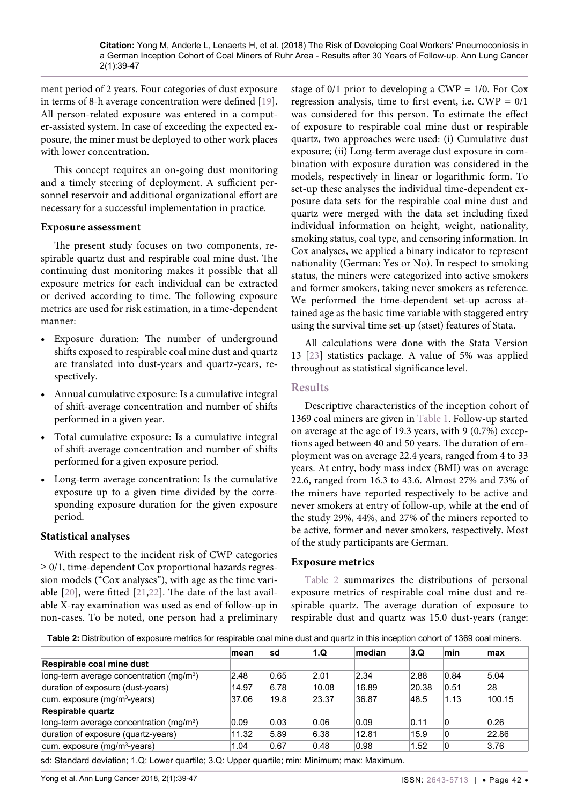ment period of 2 years. Four categories of dust exposure in terms of 8-h average concentration were defined [[19](#page-8-1)]. All person-related exposure was entered in a computer-assisted system. In case of exceeding the expected exposure, the miner must be deployed to other work places with lower concentration.

This concept requires an on-going dust monitoring and a timely steering of deployment. A sufficient personnel reservoir and additional organizational effort are necessary for a successful implementation in practice.

#### **Exposure assessment**

The present study focuses on two components, respirable quartz dust and respirable coal mine dust. The continuing dust monitoring makes it possible that all exposure metrics for each individual can be extracted or derived according to time. The following exposure metrics are used for risk estimation, in a time-dependent manner:

- **•**  Exposure duration: The number of underground shifts exposed to respirable coal mine dust and quartz are translated into dust-years and quartz-years, respectively.
- Annual cumulative exposure: Is a cumulative integral of shift-average concentration and number of shifts performed in a given year.
- Total cumulative exposure: Is a cumulative integral of shift-average concentration and number of shifts performed for a given exposure period.
- Long-term average concentration: Is the cumulative exposure up to a given time divided by the corresponding exposure duration for the given exposure period.

# **Statistical analyses**

With respect to the incident risk of CWP categories ≥ 0/1, time-dependent Cox proportional hazards regression models ("Cox analyses"), with age as the time variable [[20](#page-8-6)], were fitted [[21](#page-8-7),[22](#page-8-8)]. The date of the last available X-ray examination was used as end of follow-up in non-cases. To be noted, one person had a preliminary

stage of  $0/1$  prior to developing a CWP =  $1/0$ . For Cox regression analysis, time to first event, i.e.  $CWP = 0/1$ was considered for this person. To estimate the effect of exposure to respirable coal mine dust or respirable quartz, two approaches were used: (i) Cumulative dust exposure; (ii) Long-term average dust exposure in combination with exposure duration was considered in the models, respectively in linear or logarithmic form. To set-up these analyses the individual time-dependent exposure data sets for the respirable coal mine dust and quartz were merged with the data set including fixed individual information on height, weight, nationality, smoking status, coal type, and censoring information. In Cox analyses, we applied a binary indicator to represent nationality (German: Yes or No). In respect to smoking status, the miners were categorized into active smokers and former smokers, taking never smokers as reference. We performed the time-dependent set-up across attained age as the basic time variable with staggered entry using the survival time set-up (stset) features of Stata.

All calculations were done with the Stata Version 13 [[23](#page-8-5)] statistics package. A value of 5% was applied throughout as statistical significance level.

# **Results**

Descriptive characteristics of the inception cohort of 1369 coal miners are given in [Table 1](#page-1-0). Follow-up started on average at the age of 19.3 years, with 9 (0.7%) exceptions aged between 40 and 50 years. The duration of employment was on average 22.4 years, ranged from 4 to 33 years. At entry, body mass index (BMI) was on average 22.6, ranged from 16.3 to 43.6. Almost 27% and 73% of the miners have reported respectively to be active and never smokers at entry of follow-up, while at the end of the study 29%, 44%, and 27% of the miners reported to be active, former and never smokers, respectively. Most of the study participants are German.

# **Exposure metrics**

[Table 2](#page-3-0) summarizes the distributions of personal exposure metrics of respirable coal mine dust and respirable quartz. The average duration of exposure to respirable dust and quartz was 15.0 dust-years (range:

<span id="page-3-0"></span>**Table 2:** Distribution of exposure metrics for respirable coal mine dust and quartz in this inception cohort of 1369 coal miners.

|                                                      | mean  | sd   | 1.Q   | median | 3.Q   | min  | max    |
|------------------------------------------------------|-------|------|-------|--------|-------|------|--------|
| Respirable coal mine dust                            |       |      |       |        |       |      |        |
| long-term average concentration (mg/m <sup>3</sup> ) | 2.48  | 0.65 | 2.01  | 2.34   | 2.88  | 0.84 | 5.04   |
| duration of exposure (dust-years)                    | 14.97 | 6.78 | 10.08 | 16.89  | 20.38 | 0.51 | 28     |
| cum. exposure (mg/m <sup>3</sup> -years)             | 37.06 | 19.8 | 23.37 | 36.87  | 48.5  | 1.13 | 100.15 |
| <b>Respirable quartz</b>                             |       |      |       |        |       |      |        |
| long-term average concentration (mg/m <sup>3</sup> ) | 0.09  | 0.03 | 0.06  | 0.09   | 0.11  | 0    | 0.26   |
| duration of exposure (quartz-years)                  | 11.32 | 5.89 | 6.38  | 12.81  | 15.9  | 0    | 22.86  |
| cum. exposure (mg/m <sup>3</sup> -years)             | 1.04  | 0.67 | 0.48  | 0.98   | 1.52  | 0    | 3.76   |

sd: Standard deviation; 1.Q: Lower quartile; 3.Q: Upper quartile; min: Minimum; max: Maximum.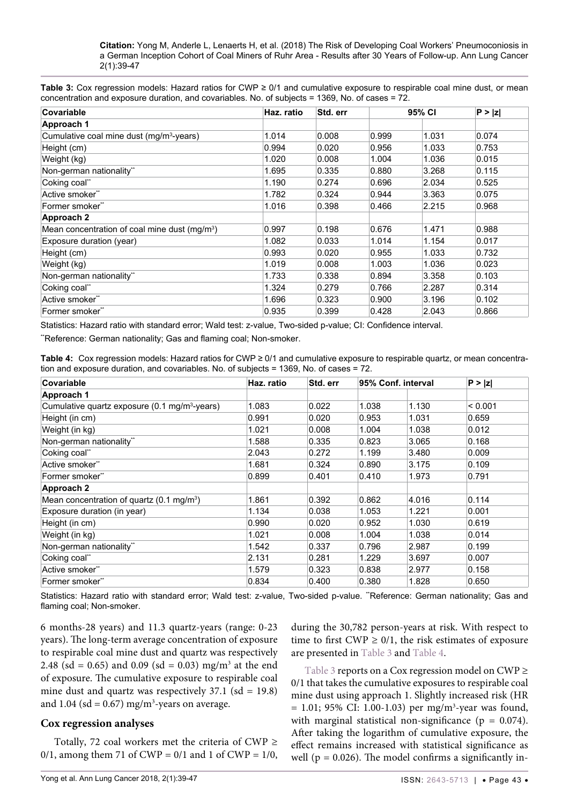<span id="page-4-0"></span>**Table 3:** Cox regression models: Hazard ratios for CWP ≥ 0/1 and cumulative exposure to respirable coal mine dust, or mean concentration and exposure duration, and covariables. No. of subjects = 1369, No. of cases = 72.

| <b>Covariable</b>                                         | Haz. ratio | Std. err | 95% CI |       | P >  Z |
|-----------------------------------------------------------|------------|----------|--------|-------|--------|
| Approach 1                                                |            |          |        |       |        |
| Cumulative coal mine dust (mg/m <sup>3</sup> -years)      | 1.014      | 0.008    | 0.999  | 1.031 | 0.074  |
| Height (cm)                                               | 0.994      | 0.020    | 0.956  | 1.033 | 0.753  |
| Weight (kg)                                               | 1.020      | 0.008    | 1.004  | 1.036 | 0.015  |
| Non-german nationality**                                  | 1.695      | 0.335    | 0.880  | 3.268 | 0.115  |
| Coking coal"                                              | 1.190      | 0.274    | 0.696  | 2.034 | 0.525  |
| Active smoker**                                           | 1.782      | 0.324    | 0.944  | 3.363 | 0.075  |
| Former smoker**                                           | 1.016      | 0.398    | 0.466  | 2.215 | 0.968  |
| <b>Approach 2</b>                                         |            |          |        |       |        |
| Mean concentration of coal mine dust (mg/m <sup>3</sup> ) | 0.997      | 0.198    | 0.676  | 1.471 | 0.988  |
| Exposure duration (year)                                  | 1.082      | 0.033    | 1.014  | 1.154 | 0.017  |
| Height (cm)                                               | 0.993      | 0.020    | 0.955  | 1.033 | 0.732  |
| Weight (kg)                                               | 1.019      | 0.008    | 1.003  | 1.036 | 0.023  |
| Non-german nationality**                                  | 1.733      | 0.338    | 0.894  | 3.358 | 0.103  |
| Coking coal"                                              | 1.324      | 0.279    | 0.766  | 2.287 | 0.314  |
| Active smoker**                                           | 1.696      | 0.323    | 0.900  | 3.196 | 0.102  |
| Former smoker**                                           | 0.935      | 0.399    | 0.428  | 2.043 | 0.866  |

Statistics: Hazard ratio with standard error; Wald test: z-value, Two-sided p-value; CI: Confidence interval.

"Reference: German nationality; Gas and flaming coal; Non-smoker.

<span id="page-4-1"></span>

| Table 4: Cox regression models: Hazard ratios for CWP ≥ 0/1 and cumulative exposure to respirable quartz, or mean concentra- |  |  |  |
|------------------------------------------------------------------------------------------------------------------------------|--|--|--|
| tion and exposure duration, and covariables. No. of subjects = 1369, No. of cases = $72$ .                                   |  |  |  |

| Covariable                                                | Haz. ratio | Std. err | 95% Conf. interval |       | P >  z  |  |
|-----------------------------------------------------------|------------|----------|--------------------|-------|---------|--|
| Approach 1                                                |            |          |                    |       |         |  |
| Cumulative quartz exposure (0.1 mg/m <sup>3</sup> -years) | 1.083      | 0.022    | 1.038              | 1.130 | < 0.001 |  |
| Height (in cm)                                            | 0.991      | 0.020    | 0.953              | 1.031 | 0.659   |  |
| Weight (in kg)                                            | 1.021      | 0.008    | 1.004              | 1.038 | 0.012   |  |
| Non-german nationality**                                  | 1.588      | 0.335    | 0.823              | 3.065 | 0.168   |  |
| Coking coal"                                              | 2.043      | 0.272    | 1.199              | 3.480 | 0.009   |  |
| Active smoker**                                           | 1.681      | 0.324    | 0.890              | 3.175 | 0.109   |  |
| Former smoker**                                           | 0.899      | 0.401    | 0.410              | 1.973 | 0.791   |  |
| Approach 2                                                |            |          |                    |       |         |  |
| Mean concentration of quartz (0.1 mg/m <sup>3</sup> )     | 1.861      | 0.392    | 0.862              | 4.016 | 0.114   |  |
| Exposure duration (in year)                               | 1.134      | 0.038    | 1.053              | 1.221 | 0.001   |  |
| Height (in cm)                                            | 0.990      | 0.020    | 0.952              | 1.030 | 0.619   |  |
| Weight (in kg)                                            | 1.021      | 0.008    | 1.004              | 1.038 | 0.014   |  |
| Non-german nationality**                                  | 1.542      | 0.337    | 0.796              | 2.987 | 0.199   |  |
| Coking coal"                                              | 2.131      | 0.281    | 1.229              | 3.697 | 0.007   |  |
| Active smoker**                                           | 1.579      | 0.323    | 0.838              | 2.977 | 0.158   |  |
| Former smoker**                                           | 0.834      | 0.400    | 0.380              | 1.828 | 0.650   |  |

Statistics: Hazard ratio with standard error; Wald test: z-value, Two-sided p-value. "Reference: German nationality; Gas and flaming coal; Non-smoker.

6 months-28 years) and 11.3 quartz-years (range: 0-23 years). The long-term average concentration of exposure to respirable coal mine dust and quartz was respectively 2.48 (sd = 0.65) and 0.09 (sd = 0.03) mg/m<sup>3</sup> at the end of exposure. The cumulative exposure to respirable coal mine dust and quartz was respectively  $37.1$  (sd = 19.8) and  $1.04$  (sd = 0.67) mg/m<sup>3</sup>-years on average.

#### **Cox regression analyses**

Totally, 72 coal workers met the criteria of CWP  $\geq$ 0/1, among them 71 of CWP =  $0/1$  and 1 of CWP =  $1/0$ , during the 30,782 person-years at risk. With respect to time to first  $CWP \geq 0/1$ , the risk estimates of exposure are presented in [Table 3](#page-4-0) and [Table 4](#page-4-1).

[Table 3](#page-4-0) reports on a Cox regression model on CWP ≥ 0/1 that takes the cumulative exposures to respirable coal mine dust using approach 1. Slightly increased risk (HR  $= 1.01$ ; 95% CI: 1.00-1.03) per mg/m<sup>3</sup>-year was found, with marginal statistical non-significance ( $p = 0.074$ ). After taking the logarithm of cumulative exposure, the effect remains increased with statistical significance as well ( $p = 0.026$ ). The model confirms a significantly in-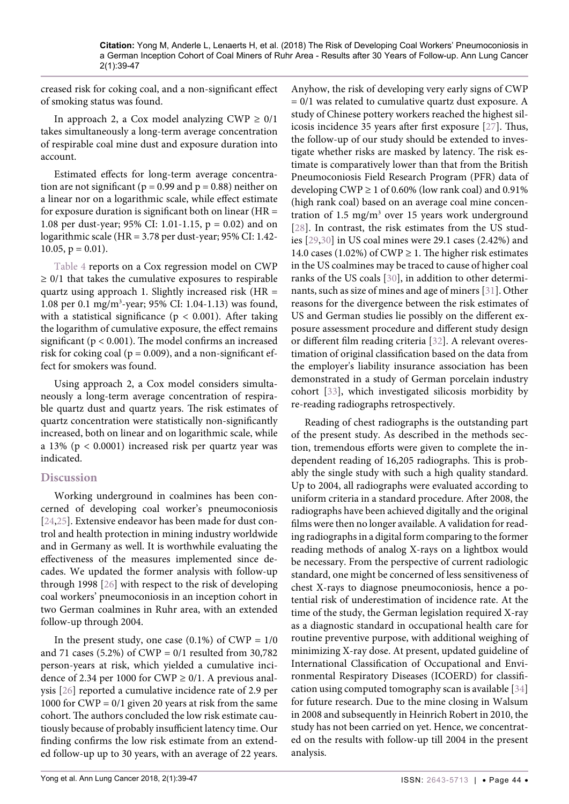creased risk for coking coal, and a non-significant effect of smoking status was found.

In approach 2, a Cox model analyzing CWP  $\geq 0/1$ takes simultaneously a long-term average concentration of respirable coal mine dust and exposure duration into account.

Estimated effects for long-term average concentration are not significant ( $p = 0.99$  and  $p = 0.88$ ) neither on a linear nor on a logarithmic scale, while effect estimate for exposure duration is significant both on linear ( $HR =$ 1.08 per dust-year; 95% CI: 1.01-1.15, p = 0.02) and on logarithmic scale (HR = 3.78 per dust-year; 95% CI: 1.42-  $10.05$ ,  $p = 0.01$ ).

[Table 4](#page-4-1) reports on a Cox regression model on CWP  $\geq$  0/1 that takes the cumulative exposures to respirable quartz using approach 1. Slightly increased risk  $(HR =$ 1.08 per 0.1 mg/m3 -year; 95% CI: 1.04-1.13) was found, with a statistical significance ( $p < 0.001$ ). After taking the logarithm of cumulative exposure, the effect remains significant (p < 0.001). The model confirms an increased risk for coking coal ( $p = 0.009$ ), and a non-significant effect for smokers was found.

Using approach 2, a Cox model considers simultaneously a long-term average concentration of respirable quartz dust and quartz years. The risk estimates of quartz concentration were statistically non-significantly increased, both on linear and on logarithmic scale, while a 13% (p < 0.0001) increased risk per quartz year was indicated.

# **Discussion**

Working underground in coalmines has been concerned of developing coal worker's pneumoconiosis [\[24](#page-8-17)[,25\]](#page-8-18). Extensive endeavor has been made for dust control and health protection in mining industry worldwide and in Germany as well. It is worthwhile evaluating the effectiveness of the measures implemented since decades. We updated the former analysis with follow-up through 1998 [[26](#page-8-19)] with respect to the risk of developing coal workers' pneumoconiosis in an inception cohort in two German coalmines in Ruhr area, with an extended follow-up through 2004.

In the present study, one case  $(0.1\%)$  of CWP =  $1/0$ and 71 cases (5.2%) of  $CWP = 0/1$  resulted from 30,782 person-years at risk, which yielded a cumulative incidence of 2.34 per 1000 for CWP  $\geq$  0/1. A previous analysis [\[26\]](#page-8-19) reported a cumulative incidence rate of 2.9 per 1000 for CWP =  $0/1$  given 20 years at risk from the same cohort. The authors concluded the low risk estimate cautiously because of probably insufficient latency time. Our finding confirms the low risk estimate from an extended follow-up up to 30 years, with an average of 22 years.

Anyhow, the risk of developing very early signs of CWP = 0/1 was related to cumulative quartz dust exposure. A study of Chinese pottery workers reached the highest silicosis incidence 35 years after first exposure [\[27](#page-8-9)]. Thus, the follow-up of our study should be extended to investigate whether risks are masked by latency. The risk estimate is comparatively lower than that from the British Pneumoconiosis Field Research Program (PFR) data of developing CWP  $\geq 1$  of 0.60% (low rank coal) and 0.91% (high rank coal) based on an average coal mine concentration of  $1.5 \text{ mg/m}^3$  over 15 years work underground [[28](#page-8-10)]. In contrast, the risk estimates from the US studies [[29](#page-8-11),[30](#page-8-12)] in US coal mines were 29.1 cases (2.42%) and 14.0 cases (1.02%) of CWP  $\geq$  1. The higher risk estimates in the US coalmines may be traced to cause of higher coal ranks of the US coals [[30](#page-8-12)], in addition to other determinants, such as size of mines and age of miners [[31](#page-8-13)]. Other reasons for the divergence between the risk estimates of US and German studies lie possibly on the different exposure assessment procedure and different study design or different film reading criteria [\[32](#page-8-14)]. A relevant overestimation of original classification based on the data from the employer's liability insurance association has been demonstrated in a study of German porcelain industry cohort [[33](#page-8-15)], which investigated silicosis morbidity by re-reading radiographs retrospectively.

Reading of chest radiographs is the outstanding part of the present study. As described in the methods section, tremendous efforts were given to complete the independent reading of 16,205 radiographs. This is probably the single study with such a high quality standard. Up to 2004, all radiographs were evaluated according to uniform criteria in a standard procedure. After 2008, the radiographs have been achieved digitally and the original films were then no longer available. A validation for reading radiographs in a digital form comparing to the former reading methods of analog X-rays on a lightbox would be necessary. From the perspective of current radiologic standard, one might be concerned of less sensitiveness of chest X-rays to diagnose pneumoconiosis, hence a potential risk of underestimation of incidence rate. At the time of the study, the German legislation required X-ray as a diagnostic standard in occupational health care for routine preventive purpose, with additional weighing of minimizing X-ray dose. At present, updated guideline of International Classification of Occupational and Environmental Respiratory Diseases (ICOERD) for classification using computed tomography scan is available [\[34\]](#page-8-16) for future research. Due to the mine closing in Walsum in 2008 and subsequently in Heinrich Robert in 2010, the study has not been carried on yet. Hence, we concentrated on the results with follow-up till 2004 in the present analysis.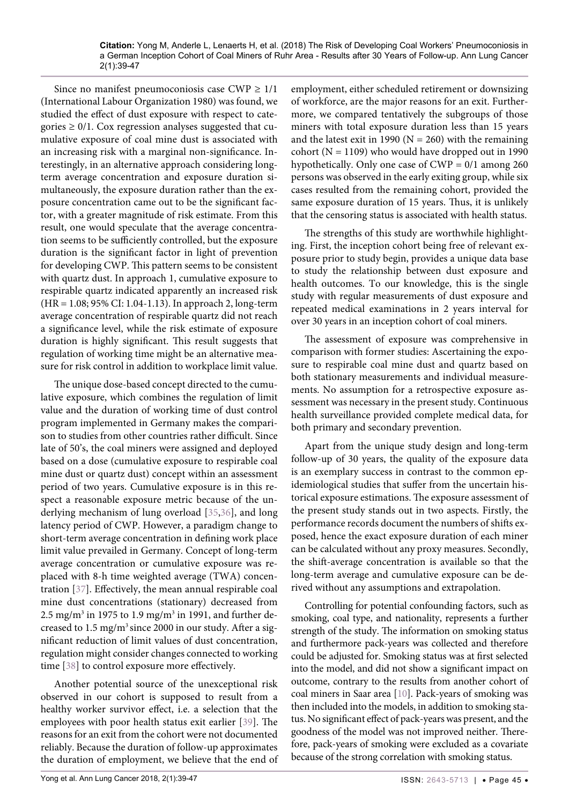Since no manifest pneumoconiosis case CWP  $\geq 1/1$ (International Labour Organization 1980) was found, we studied the effect of dust exposure with respect to categories  $\geq 0/1$ . Cox regression analyses suggested that cumulative exposure of coal mine dust is associated with an increasing risk with a marginal non-significance. Interestingly, in an alternative approach considering longterm average concentration and exposure duration simultaneously, the exposure duration rather than the exposure concentration came out to be the significant factor, with a greater magnitude of risk estimate. From this result, one would speculate that the average concentration seems to be sufficiently controlled, but the exposure duration is the significant factor in light of prevention for developing CWP. This pattern seems to be consistent with quartz dust. In approach 1, cumulative exposure to respirable quartz indicated apparently an increased risk (HR = 1.08; 95% CI: 1.04-1.13). In approach 2, long-term average concentration of respirable quartz did not reach a significance level, while the risk estimate of exposure duration is highly significant. This result suggests that regulation of working time might be an alternative measure for risk control in addition to workplace limit value.

The unique dose-based concept directed to the cumulative exposure, which combines the regulation of limit value and the duration of working time of dust control program implemented in Germany makes the comparison to studies from other countries rather difficult. Since late of 50's, the coal miners were assigned and deployed based on a dose (cumulative exposure to respirable coal mine dust or quartz dust) concept within an assessment period of two years. Cumulative exposure is in this respect a reasonable exposure metric because of the underlying mechanism of lung overload [[35](#page-8-20),[36](#page-8-21)], and long latency period of CWP. However, a paradigm change to short-term average concentration in defining work place limit value prevailed in Germany. Concept of long-term average concentration or cumulative exposure was replaced with 8-h time weighted average (TWA) concentration [\[37\]](#page-8-22). Effectively, the mean annual respirable coal mine dust concentrations (stationary) decreased from 2.5 mg/m $^3$  in 1975 to 1.9 mg/m $^3$  in 1991, and further decreased to 1.5 mg/m<sup>3</sup> since 2000 in our study. After a significant reduction of limit values of dust concentration, regulation might consider changes connected to working time [[38](#page-8-23)] to control exposure more effectively.

Another potential source of the unexceptional risk observed in our cohort is supposed to result from a healthy worker survivor effect, i.e. a selection that the employees with poor health status exit earlier [[39](#page-8-24)]. The reasons for an exit from the cohort were not documented reliably. Because the duration of follow-up approximates the duration of employment, we believe that the end of employment, either scheduled retirement or downsizing of workforce, are the major reasons for an exit. Furthermore, we compared tentatively the subgroups of those miners with total exposure duration less than 15 years and the latest exit in 1990 ( $N = 260$ ) with the remaining cohort ( $N = 1109$ ) who would have dropped out in 1990 hypothetically. Only one case of  $CWP = 0/1$  among 260 persons was observed in the early exiting group, while six cases resulted from the remaining cohort, provided the same exposure duration of 15 years. Thus, it is unlikely that the censoring status is associated with health status.

The strengths of this study are worthwhile highlighting. First, the inception cohort being free of relevant exposure prior to study begin, provides a unique data base to study the relationship between dust exposure and health outcomes. To our knowledge, this is the single study with regular measurements of dust exposure and repeated medical examinations in 2 years interval for over 30 years in an inception cohort of coal miners.

The assessment of exposure was comprehensive in comparison with former studies: Ascertaining the exposure to respirable coal mine dust and quartz based on both stationary measurements and individual measurements. No assumption for a retrospective exposure assessment was necessary in the present study. Continuous health surveillance provided complete medical data, for both primary and secondary prevention.

Apart from the unique study design and long-term follow-up of 30 years, the quality of the exposure data is an exemplary success in contrast to the common epidemiological studies that suffer from the uncertain historical exposure estimations. The exposure assessment of the present study stands out in two aspects. Firstly, the performance records document the numbers of shifts exposed, hence the exact exposure duration of each miner can be calculated without any proxy measures. Secondly, the shift-average concentration is available so that the long-term average and cumulative exposure can be derived without any assumptions and extrapolation.

Controlling for potential confounding factors, such as smoking, coal type, and nationality, represents a further strength of the study. The information on smoking status and furthermore pack-years was collected and therefore could be adjusted for. Smoking status was at first selected into the model, and did not show a significant impact on outcome, contrary to the results from another cohort of coal miners in Saar area [[10](#page-7-7)]. Pack-years of smoking was then included into the models, in addition to smoking status. No significant effect of pack-years was present, and the goodness of the model was not improved neither. Therefore, pack-years of smoking were excluded as a covariate because of the strong correlation with smoking status.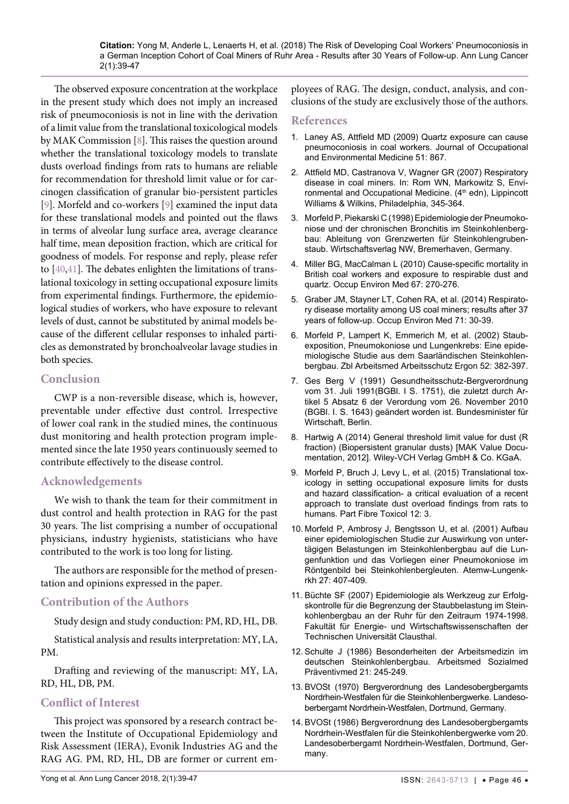The observed exposure concentration at the workplace in the present study which does not imply an increased risk of pneumoconiosis is not in line with the derivation of a limit value from the translational toxicological models by MAK Commission [\[8](#page-7-5)]. This raises the question around whether the translational toxicology models to translate dusts overload findings from rats to humans are reliable for recommendation for threshold limit value or for carcinogen classification of granular bio-persistent particles [\[9](#page-7-6)]. Morfeld and co-workers [[9\]](#page-7-6) examined the input data for these translational models and pointed out the flaws in terms of alveolar lung surface area, average clearance half time, mean deposition fraction, which are critical for goodness of models. For response and reply, please refer to [[40](#page-8-25),[41\]](#page-8-26). The debates enlighten the limitations of translational toxicology in setting occupational exposure limits from experimental findings. Furthermore, the epidemiological studies of workers, who have exposure to relevant levels of dust, cannot be substituted by animal models because of the different cellular responses to inhaled particles as demonstrated by bronchoalveolar lavage studies in both species.

# **Conclusion**

CWP is a non-reversible disease, which is, however, preventable under effective dust control. Irrespective of lower coal rank in the studied mines, the continuous dust monitoring and health protection program implemented since the late 1950 years continuously seemed to contribute effectively to the disease control.

# **Acknowledgements**

We wish to thank the team for their commitment in dust control and health protection in RAG for the past 30 years. The list comprising a number of occupational physicians, industry hygienists, statisticians who have contributed to the work is too long for listing.

The authors are responsible for the method of presentation and opinions expressed in the paper.

# **Contribution of the Authors**

Study design and study conduction: PM, RD, HL, DB.

Statistical analysis and results interpretation: MY, LA, PM.

Drafting and reviewing of the manuscript: MY, LA, RD, HL, DB, PM.

# **Conflict of Interest**

This project was sponsored by a research contract between the Institute of Occupational Epidemiology and Risk Assessment (IERA), Evonik Industries AG and the RAG AG. PM, RD, HL, DB are former or current employees of RAG. The design, conduct, analysis, and conclusions of the study are exclusively those of the authors.

#### **References**

- <span id="page-7-0"></span>1. [Laney AS, Attfield MD \(2009\) Quartz exposure can cause](https://journals.lww.com/joem/Citation/2009/08000/Quartz_Exposure_Can_Cause_Pneumoconiosis_in_Coal.1.aspx)  [pneumoconiosis in coal workers. Journal of Occupational](https://journals.lww.com/joem/Citation/2009/08000/Quartz_Exposure_Can_Cause_Pneumoconiosis_in_Coal.1.aspx)  [and Environmental Medicine 51: 867.](https://journals.lww.com/joem/Citation/2009/08000/Quartz_Exposure_Can_Cause_Pneumoconiosis_in_Coal.1.aspx)
- 2. [Attfield MD, Castranova V, Wagner GR \(2007\) Respiratory](https://www.cdc.gov/niosh/nioshtic-2/20031619.html)  [disease in coal miners. In: Rom WN, Markowitz S, Envi](https://www.cdc.gov/niosh/nioshtic-2/20031619.html)ronmental and Occupational Medicine. (4<sup>th</sup> edn), Lippincott [Williams & Wilkins, Philadelphia, 345-364.](https://www.cdc.gov/niosh/nioshtic-2/20031619.html)
- <span id="page-7-1"></span>3. Morfeld P, Piekarski C (1998) Epidemiologie der Pneumokoniose und der chronischen Bronchitis im Steinkohlenbergbau: Ableitung von Grenzwerten für Steinkohlengrubenstaub. Wirtschaftsverlag NW, Bremerhaven, Germany.
- <span id="page-7-2"></span>4. [Miller BG, MacCalman L \(2010\) Cause-specific mortality in](https://www.ncbi.nlm.nih.gov/pubmed/19819863)  [British coal workers and exposure to respirable dust and](https://www.ncbi.nlm.nih.gov/pubmed/19819863)  [quartz. Occup Environ Med 67: 270-276.](https://www.ncbi.nlm.nih.gov/pubmed/19819863)
- 5. [Graber JM, Stayner LT, Cohen RA, et al. \(2014\) Respirato](https://www.ncbi.nlm.nih.gov/pubmed/24186945)[ry disease mortality among US coal miners; results after 37](https://www.ncbi.nlm.nih.gov/pubmed/24186945)  [years of follow-up. Occup Environ Med 71: 30-39.](https://www.ncbi.nlm.nih.gov/pubmed/24186945)
- <span id="page-7-3"></span>6. Morfeld P, Lampert K, Emmerich M, et al. (2002) Staubexposition, Pneumokoniose und Lungenkrebs: Eine epidemiologische Studie aus dem Saarländischen Steinkohlenbergbau. Zbl Arbeitsmed Arbeitsschutz Ergon 52: 382-397.
- <span id="page-7-4"></span>7. Ges Berg V (1991) Gesundheitsschutz-Bergverordnung vom 31. Juli 1991(BGBl. I S. 1751), die zuletzt durch Artikel 5 Absatz 6 der Verordung vom 26. November 2010 (BGBl. I. S. 1643) geändert worden ist. Bundesminister für Wirtschaft, Berlin.
- <span id="page-7-5"></span>8. [Hartwig A \(2014\) General threshold limit value for dust \(R](https://onlinelibrary.wiley.com/doi/10.1002/3527600418.mb0230stwe5314)  [fraction\) \(Biopersistent granular dusts\) \[MAK Value Docu](https://onlinelibrary.wiley.com/doi/10.1002/3527600418.mb0230stwe5314)[mentation, 2012\]. Wiley-VCH Verlag GmbH & Co. KGaA.](https://onlinelibrary.wiley.com/doi/10.1002/3527600418.mb0230stwe5314)
- <span id="page-7-6"></span>9. [Morfeld P, Bruch J, Levy L, et al. \(2015\) Translational tox](https://www.ncbi.nlm.nih.gov/pubmed/25925672)[icology in setting occupational exposure limits for dusts](https://www.ncbi.nlm.nih.gov/pubmed/25925672)  [and hazard classification- a critical evaluation of a recent](https://www.ncbi.nlm.nih.gov/pubmed/25925672)  [approach to translate dust overload findings from rats to](https://www.ncbi.nlm.nih.gov/pubmed/25925672)  [humans. Part Fibre Toxicol 12: 3.](https://www.ncbi.nlm.nih.gov/pubmed/25925672)
- <span id="page-7-7"></span>10. Morfeld P, Ambrosy J, Bengtsson U, et al. (2001) Aufbau einer epidemiologischen Studie zur Auswirkung von untertägigen Belastungen im Steinkohlenbergbau auf die Lungenfunktion und das Vorliegen einer Pneumokoniose im Röntgenbild bei Steinkohlenbergleuten. Atemw-Lungenkrkh 27: 407-409.
- <span id="page-7-8"></span>11. Büchte SF (2007) Epidemiologie als Werkzeug zur Erfolgskontrolle für die Begrenzung der Staubbelastung im Steinkohlenbergbau an der Ruhr für den Zeitraum 1974-1998. Fakultät für Energie- und Wirtschaftswissenschaften der Technischen Universität Clausthal.
- <span id="page-7-9"></span>12. Schulte J (1986) Besonderheiten der Arbeitsmedizin im deutschen Steinkohlenbergbau. Arbeitsmed Sozialmed Präventivmed 21: 245-249.
- <span id="page-7-10"></span>13. BVOSt (1970) Bergverordnung des Landesobergbergamts Nordrhein-Westfalen für die Steinkohlenbergwerke. Landesoberbergamt Nordrhein-Westfalen, Dortmund, Germany.
- <span id="page-7-11"></span>14. BVOSt (1986) Bergverordnung des Landesobergbergamts Nordrhein-Westfalen für die Steinkohlenbergwerke vom 20. Landesoberbergamt Nordrhein-Westfalen, Dortmund, Germany.